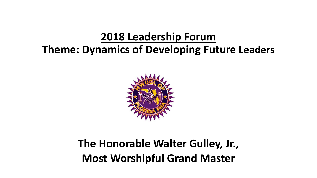#### **2018 Leadership Forum**

#### **Theme: Dynamics of Developing Future Leaders**



#### **The Honorable Walter Gulley, Jr., Most Worshipful Grand Master**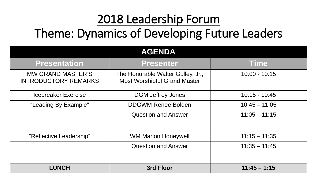## 2018 Leadership Forum Theme: Dynamics of Developing Future Leaders

| <b>AGENDA</b>                                           |                                                                          |                 |
|---------------------------------------------------------|--------------------------------------------------------------------------|-----------------|
| <b>Presentation</b>                                     | <b>Presenter</b>                                                         | <b>Time</b>     |
| <b>MW GRAND MASTER'S</b><br><b>INTRODUCTORY REMARKS</b> | The Honorable Walter Gulley, Jr.,<br><b>Most Worshipful Grand Master</b> | $10:00 - 10:15$ |
| <b>Icebreaker Exercise</b>                              | <b>DGM Jeffrey Jones</b>                                                 | $10:15 - 10:45$ |
| "Leading By Example"                                    | <b>DDGWM Renee Bolden</b>                                                | $10:45 - 11:05$ |
|                                                         | <b>Question and Answer</b>                                               | $11:05 - 11:15$ |
| "Reflective Leadership"                                 | <b>WM Marlon Honeywell</b>                                               | $11:15 - 11:35$ |
|                                                         | <b>Question and Answer</b>                                               | $11:35 - 11:45$ |
| <b>LUNCH</b>                                            | 3rd Floor                                                                | $11:45 - 1:15$  |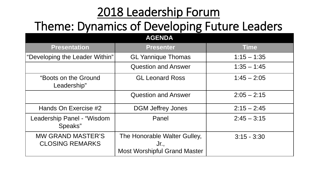# 2018 Leadership Forum

# Theme: Dynamics of Developing Future Leaders

| <b>AGENDA</b>                                      |                                                                             |               |
|----------------------------------------------------|-----------------------------------------------------------------------------|---------------|
| <b>Presentation</b>                                | <b>Presenter</b>                                                            | <b>Time</b>   |
| "Developing the Leader Within"                     | <b>GL Yannique Thomas</b>                                                   | $1:15 - 1:35$ |
|                                                    | <b>Question and Answer</b>                                                  | $1:35 - 1:45$ |
| "Boots on the Ground<br>Leadership"                | <b>GL Leonard Ross</b>                                                      | $1:45 - 2:05$ |
|                                                    | <b>Question and Answer</b>                                                  | $2:05 - 2:15$ |
| Hands On Exercise #2                               | <b>DGM Jeffrey Jones</b>                                                    | $2:15 - 2:45$ |
| Leadership Panel - "Wisdom<br>Speaks"              | Panel                                                                       | $2:45 - 3:15$ |
| <b>MW GRAND MASTER'S</b><br><b>CLOSING REMARKS</b> | The Honorable Walter Gulley,<br>Jr.,<br><b>Most Worshipful Grand Master</b> | $3:15 - 3:30$ |